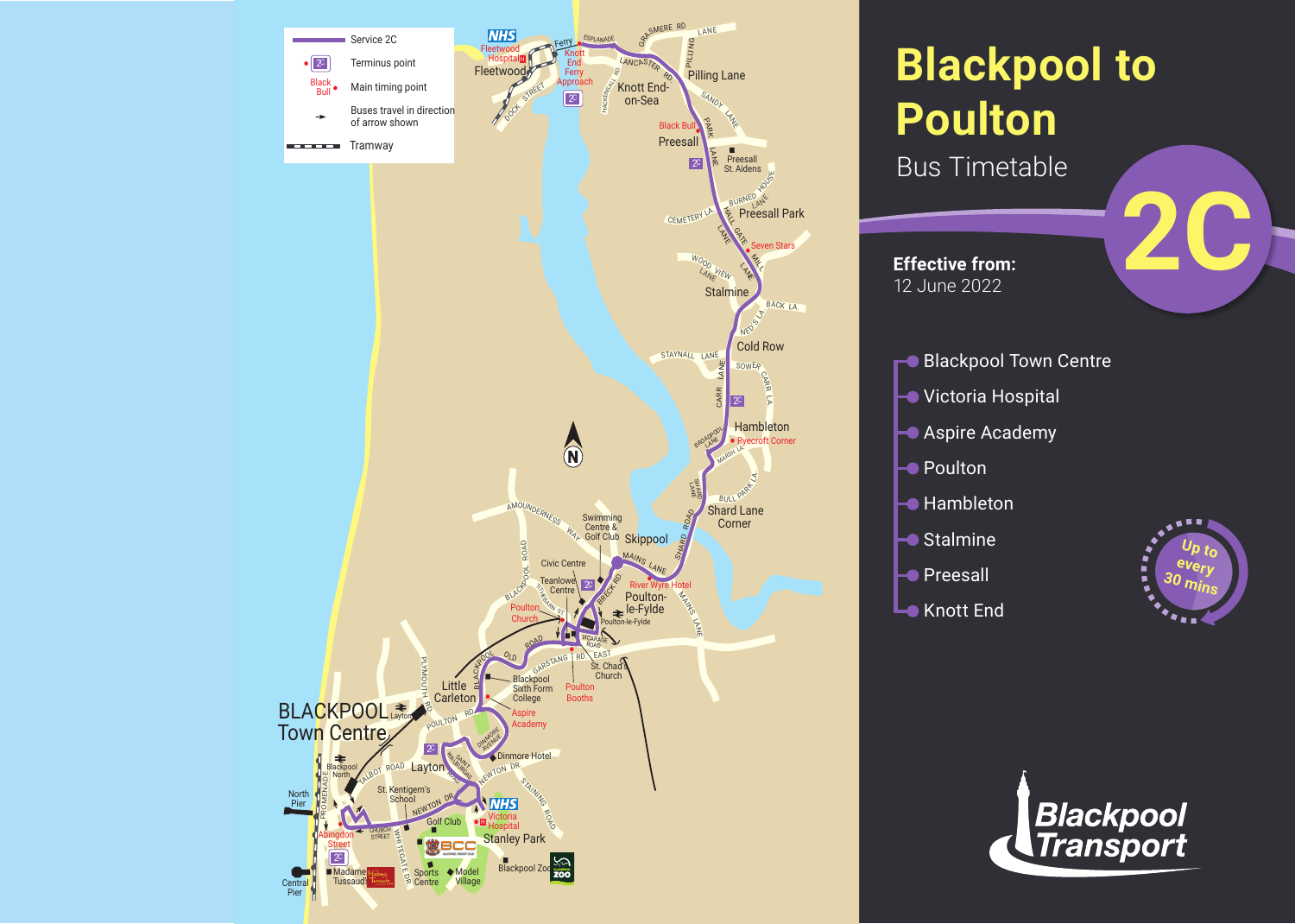

## **Blackpool to Poulton**

**Bus Timetable** 

**Effective from:** 12 June 2022

- **2C**
- **Blackpool Town Centre**
- **Victoria Hospital**
- **Aspire Academy**
- **►** Poulton
- $\blacktriangleright$  Hambleton
- **├** Stalmine
- **├●** Preesall
- **Lo** Knott End